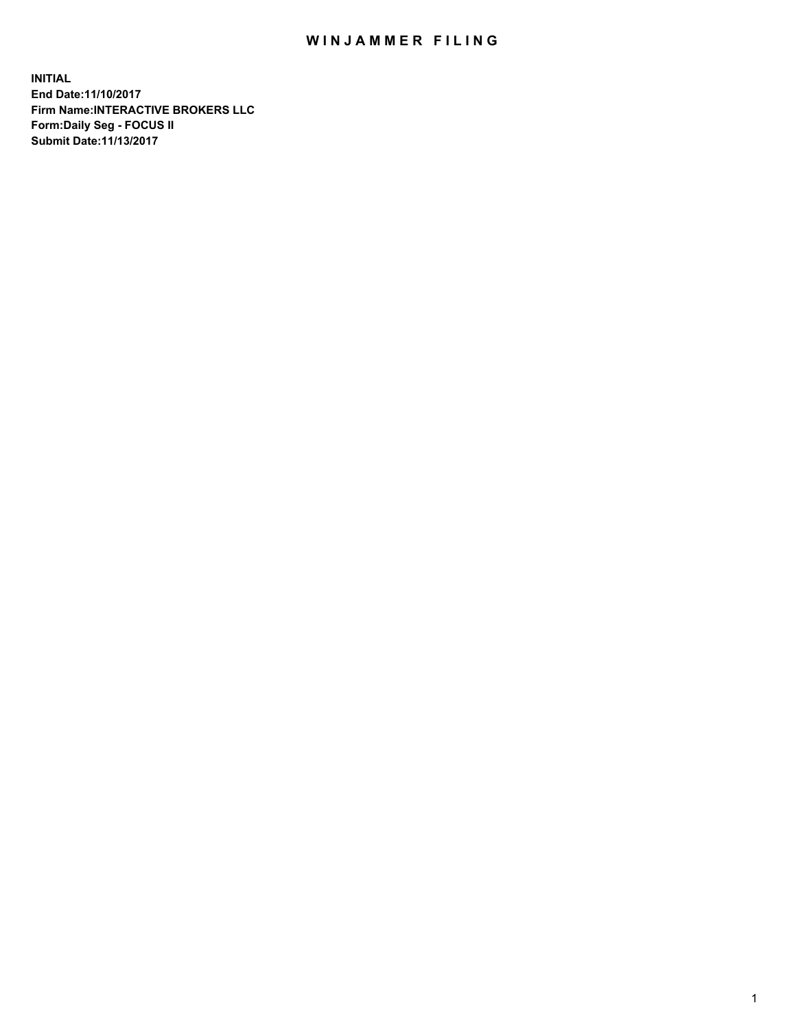## WIN JAMMER FILING

**INITIAL End Date:11/10/2017 Firm Name:INTERACTIVE BROKERS LLC Form:Daily Seg - FOCUS II Submit Date:11/13/2017**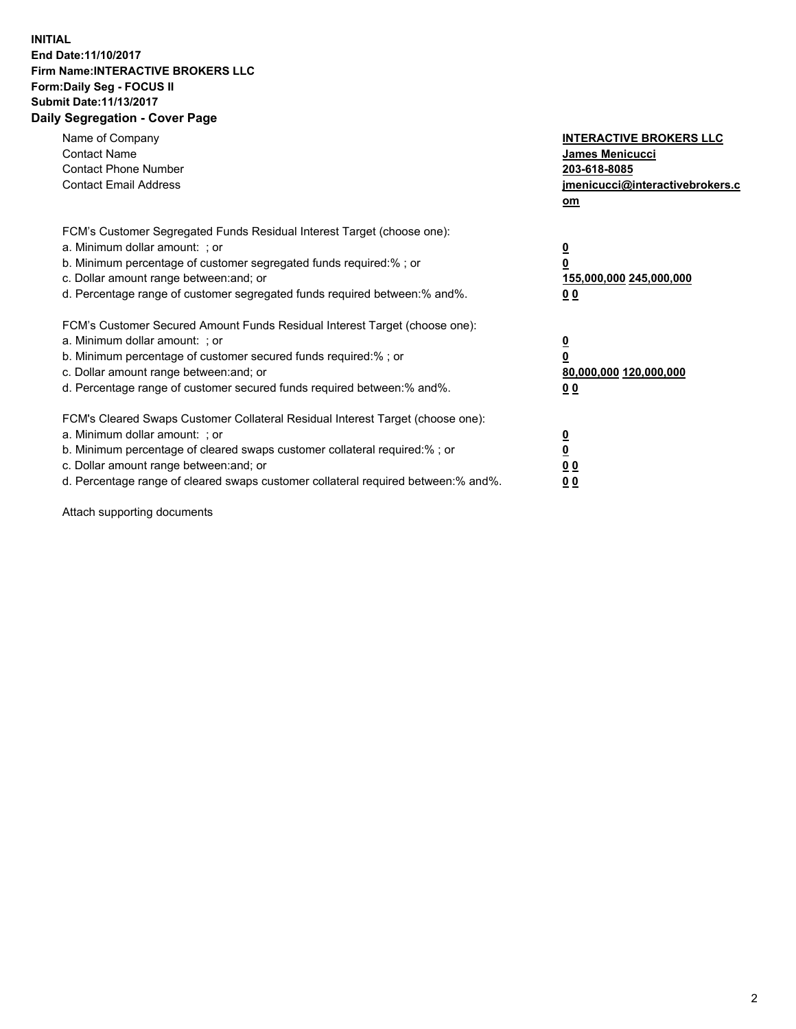## **INITIAL End Date:11/10/2017 Firm Name:INTERACTIVE BROKERS LLC Form:Daily Seg - FOCUS II Submit Date:11/13/2017 Daily Segregation - Cover Page**

| Name of Company<br><b>Contact Name</b><br><b>Contact Phone Number</b><br><b>Contact Email Address</b>                                                                                                                                                                                                                          | <b>INTERACTIVE BROKERS LLC</b><br><b>James Menicucci</b><br>203-618-8085<br>jmenicucci@interactivebrokers.c<br>om |
|--------------------------------------------------------------------------------------------------------------------------------------------------------------------------------------------------------------------------------------------------------------------------------------------------------------------------------|-------------------------------------------------------------------------------------------------------------------|
| FCM's Customer Segregated Funds Residual Interest Target (choose one):<br>a. Minimum dollar amount: ; or<br>b. Minimum percentage of customer segregated funds required:%; or<br>c. Dollar amount range between: and; or<br>d. Percentage range of customer segregated funds required between:% and%.                          | $\overline{\mathbf{0}}$<br>0<br>155,000,000 245,000,000<br>0 <sub>0</sub>                                         |
| FCM's Customer Secured Amount Funds Residual Interest Target (choose one):<br>a. Minimum dollar amount: ; or<br>b. Minimum percentage of customer secured funds required:%; or<br>c. Dollar amount range between: and; or<br>d. Percentage range of customer secured funds required between: % and %.                          | $\overline{\mathbf{0}}$<br>0<br>80,000,000 120,000,000<br>0 <sub>0</sub>                                          |
| FCM's Cleared Swaps Customer Collateral Residual Interest Target (choose one):<br>a. Minimum dollar amount: ; or<br>b. Minimum percentage of cleared swaps customer collateral required:% ; or<br>c. Dollar amount range between: and; or<br>d. Percentage range of cleared swaps customer collateral required between:% and%. | $\overline{\mathbf{0}}$<br>$\overline{\mathbf{0}}$<br>0 <sub>0</sub><br><u>00</u>                                 |

Attach supporting documents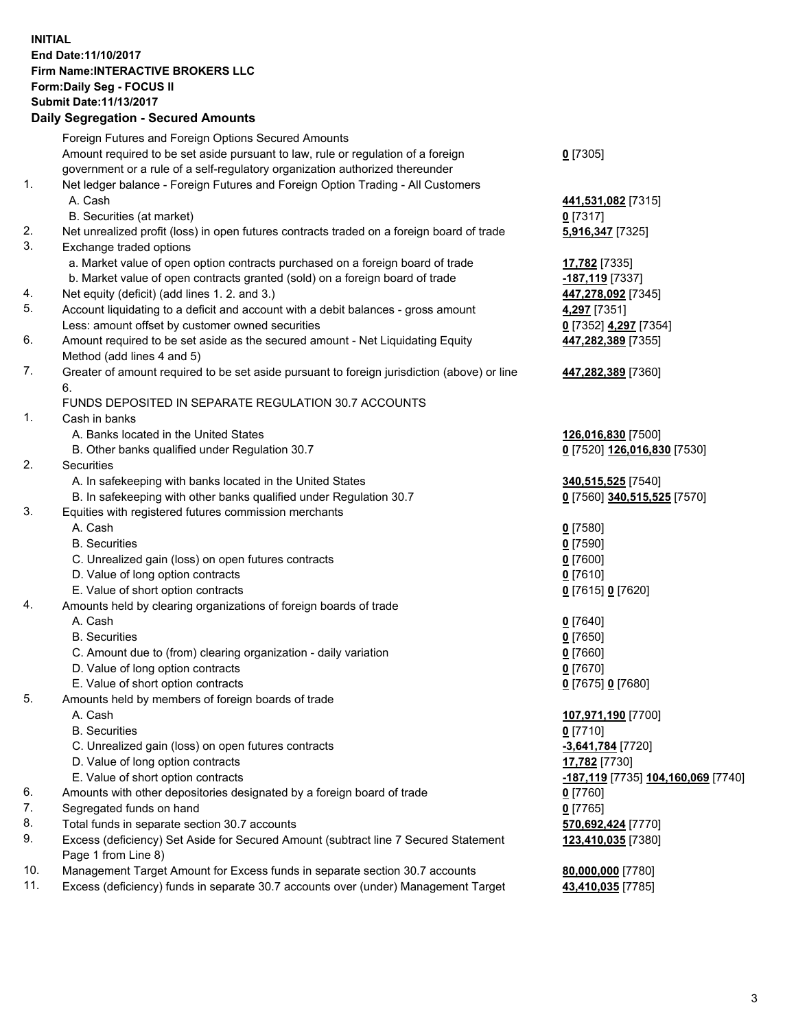## **INITIAL End Date:11/10/2017 Firm Name:INTERACTIVE BROKERS LLC Form:Daily Seg - FOCUS II Submit Date:11/13/2017 Daily Segregation - Secured Amounts**

|     | Daily Segregation - Secured Alliounts                                                                      |                                                   |
|-----|------------------------------------------------------------------------------------------------------------|---------------------------------------------------|
|     | Foreign Futures and Foreign Options Secured Amounts                                                        |                                                   |
|     | Amount required to be set aside pursuant to law, rule or regulation of a foreign                           | $0$ [7305]                                        |
|     | government or a rule of a self-regulatory organization authorized thereunder                               |                                                   |
| 1.  | Net ledger balance - Foreign Futures and Foreign Option Trading - All Customers                            |                                                   |
|     | A. Cash                                                                                                    | 441,531,082 [7315]                                |
|     | B. Securities (at market)                                                                                  | $0$ [7317]                                        |
| 2.  | Net unrealized profit (loss) in open futures contracts traded on a foreign board of trade                  | 5,916,347 [7325]                                  |
| 3.  | Exchange traded options                                                                                    |                                                   |
|     | a. Market value of open option contracts purchased on a foreign board of trade                             | 17,782 [7335]                                     |
|     | b. Market value of open contracts granted (sold) on a foreign board of trade                               | -187,119 [7337]                                   |
| 4.  | Net equity (deficit) (add lines 1.2. and 3.)                                                               | 447,278,092 [7345]                                |
| 5.  | Account liquidating to a deficit and account with a debit balances - gross amount                          | 4,297 [7351]                                      |
|     | Less: amount offset by customer owned securities                                                           | 0 [7352] 4,297 [7354]                             |
| 6.  | Amount required to be set aside as the secured amount - Net Liquidating Equity                             | 447,282,389 [7355]                                |
|     | Method (add lines 4 and 5)                                                                                 |                                                   |
| 7.  | Greater of amount required to be set aside pursuant to foreign jurisdiction (above) or line                | 447,282,389 [7360]                                |
|     | 6.                                                                                                         |                                                   |
| 1.  | FUNDS DEPOSITED IN SEPARATE REGULATION 30.7 ACCOUNTS                                                       |                                                   |
|     | Cash in banks<br>A. Banks located in the United States                                                     |                                                   |
|     |                                                                                                            | 126,016,830 [7500]                                |
| 2.  | B. Other banks qualified under Regulation 30.7<br><b>Securities</b>                                        | 0 [7520] 126,016,830 [7530]                       |
|     | A. In safekeeping with banks located in the United States                                                  |                                                   |
|     | B. In safekeeping with other banks qualified under Regulation 30.7                                         | 340,515,525 [7540]<br>0 [7560] 340,515,525 [7570] |
| 3.  | Equities with registered futures commission merchants                                                      |                                                   |
|     | A. Cash                                                                                                    | $0$ [7580]                                        |
|     | <b>B.</b> Securities                                                                                       | $0$ [7590]                                        |
|     | C. Unrealized gain (loss) on open futures contracts                                                        | $0$ [7600]                                        |
|     | D. Value of long option contracts                                                                          | $0$ [7610]                                        |
|     | E. Value of short option contracts                                                                         | 0 [7615] 0 [7620]                                 |
| 4.  | Amounts held by clearing organizations of foreign boards of trade                                          |                                                   |
|     | A. Cash                                                                                                    | $0$ [7640]                                        |
|     | <b>B.</b> Securities                                                                                       | $0$ [7650]                                        |
|     | C. Amount due to (from) clearing organization - daily variation                                            | $0$ [7660]                                        |
|     | D. Value of long option contracts                                                                          | $0$ [7670]                                        |
|     | E. Value of short option contracts                                                                         | 0 [7675] 0 [7680]                                 |
| 5.  | Amounts held by members of foreign boards of trade                                                         |                                                   |
|     | A. Cash                                                                                                    | 107,971,190 [7700]                                |
|     | <b>B.</b> Securities                                                                                       | $0$ [7710]                                        |
|     | C. Unrealized gain (loss) on open futures contracts                                                        | $-3,641,784$ [7720]                               |
|     | D. Value of long option contracts                                                                          | 17,782 [7730]                                     |
|     | E. Value of short option contracts                                                                         | -187,119 [7735] 104,160,069 [7740]                |
| 6.  | Amounts with other depositories designated by a foreign board of trade                                     | 0 [7760]                                          |
| 7.  | Segregated funds on hand                                                                                   | $0$ [7765]                                        |
| 8.  | Total funds in separate section 30.7 accounts                                                              | 570,692,424 [7770]                                |
| 9.  | Excess (deficiency) Set Aside for Secured Amount (subtract line 7 Secured Statement<br>Page 1 from Line 8) | 123,410,035 [7380]                                |
| 10. | Management Target Amount for Excess funds in separate section 30.7 accounts                                | 80,000,000 [7780]                                 |
| 11. | Excess (deficiency) funds in separate 30.7 accounts over (under) Management Target                         | 43,410,035 [7785]                                 |
|     |                                                                                                            |                                                   |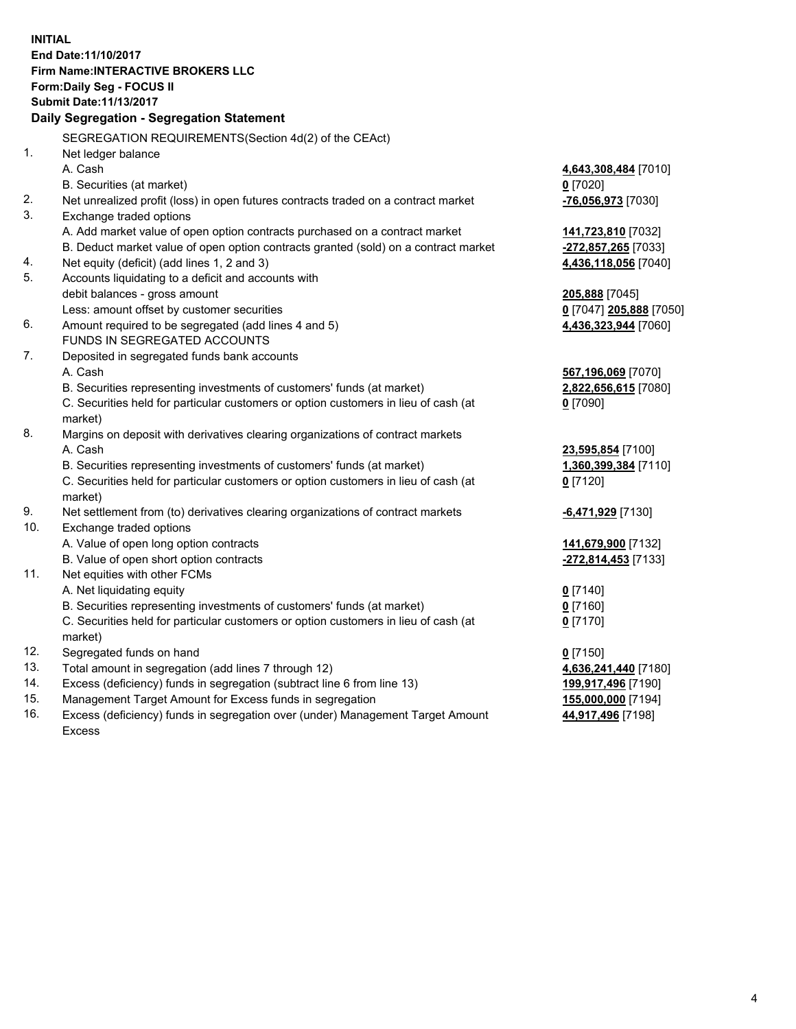**INITIAL End Date:11/10/2017 Firm Name:INTERACTIVE BROKERS LLC Form:Daily Seg - FOCUS II Submit Date:11/13/2017 Daily Segregation - Segregation Statement** SEGREGATION REQUIREMENTS(Section 4d(2) of the CEAct) 1. Net ledger balance A. Cash **4,643,308,484** [7010] B. Securities (at market) **0** [7020] 2. Net unrealized profit (loss) in open futures contracts traded on a contract market **-76,056,973** [7030] 3. Exchange traded options A. Add market value of open option contracts purchased on a contract market **141,723,810** [7032] B. Deduct market value of open option contracts granted (sold) on a contract market **-272,857,265** [7033] 4. Net equity (deficit) (add lines 1, 2 and 3) **4,436,118,056** [7040] 5. Accounts liquidating to a deficit and accounts with debit balances - gross amount **205,888** [7045] Less: amount offset by customer securities **0** [7047] **205,888** [7050] 6. Amount required to be segregated (add lines 4 and 5) **4,436,323,944** [7060] FUNDS IN SEGREGATED ACCOUNTS 7. Deposited in segregated funds bank accounts A. Cash **567,196,069** [7070] B. Securities representing investments of customers' funds (at market) **2,822,656,615** [7080] C. Securities held for particular customers or option customers in lieu of cash (at market) **0** [7090] 8. Margins on deposit with derivatives clearing organizations of contract markets A. Cash **23,595,854** [7100] B. Securities representing investments of customers' funds (at market) **1,360,399,384** [7110] C. Securities held for particular customers or option customers in lieu of cash (at market) **0** [7120] 9. Net settlement from (to) derivatives clearing organizations of contract markets **-6,471,929** [7130] 10. Exchange traded options A. Value of open long option contracts **141,679,900** [7132] B. Value of open short option contracts **-272,814,453** [7133] 11. Net equities with other FCMs A. Net liquidating equity **0** [7140] B. Securities representing investments of customers' funds (at market) **0** [7160] C. Securities held for particular customers or option customers in lieu of cash (at market) **0** [7170] 12. Segregated funds on hand **0** [7150] 13. Total amount in segregation (add lines 7 through 12) **4,636,241,440** [7180] 14. Excess (deficiency) funds in segregation (subtract line 6 from line 13) **199,917,496** [7190] 15. Management Target Amount for Excess funds in segregation **155,000,000** [7194]

16. Excess (deficiency) funds in segregation over (under) Management Target Amount Excess

**44,917,496** [7198]